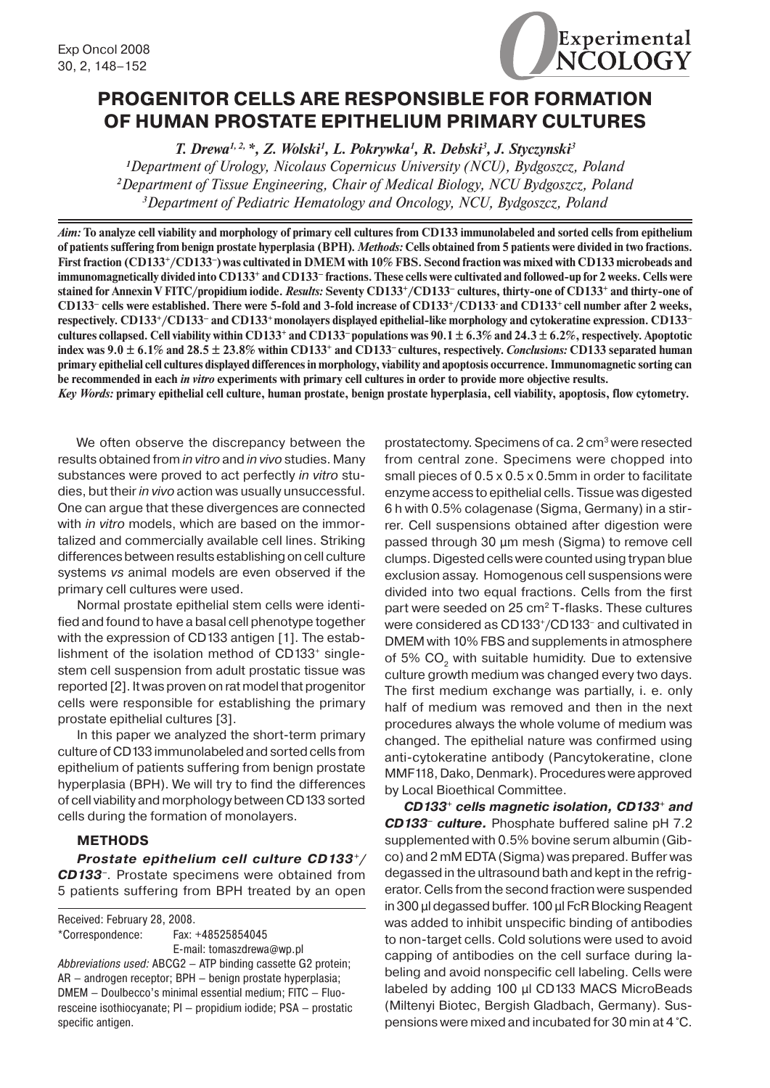

## **PROGENITOR CELLS ARE RESPONSIBLE FOR FORMATION OF HUMAN PROSTATE EPITHELIUM PRIMARY CULTURES**

*T. Drewa1, 2, \*, Z. Wolski1 , L. Pokrywka1 , R. Debski3 , J. Styczynski3 1 Department of Urology, Nicolaus Copernicus University (NCU), Bydgoszcz, Poland 2 Department of Tissue Engineering, Chair of Medical Biology, NCU Bydgoszcz, Poland*

*3 Department of Pediatric Hematology and Oncology, NCU, Bydgoszcz, Poland*

*Aim:* **To analyze cell viability and morphology of primary cell cultures from CD133 immunolabeled and sorted cells from epithelium of patients suffering from benign prostate hyperplasia (BPH).** *Methods:* **Cells obtained from 5 patients were divided in two fractions. First fraction (CD133+/CD133–) was cultivated in DMEM with 10% FBS. Second fraction was mixed with CD133 microbeads and immunomagnetically divided into CD133+ and CD133– fractions. These cells were cultivated and followed-up for 2 weeks. Cells were stained for Annexin V FITC/propidium iodide.** *Results:* **Seventy CD133+/CD133– cultures, thirty-one of CD133+ and thirty-one of CD133– cells were established. There were 5-fold and 3-fold increase of CD133+/CD133- and CD133+ cell number after 2 weeks, respectively. CD133+/CD133– and CD133+ monolayers displayed epithelial-like morphology and cytokeratine expression. CD133– cultures collapsed. Cell viability within CD133+ and CD133– populations was 90.1 ± 6.3% and 24.3 ± 6.2%, respectively. Apoptotic index was 9.0 ± 6.1% and 28.5 ± 23.8% within CD133+ and CD133– cultures, respectively.** *Conclusions:* **CD133 separated human primary epithelial cell cultures displayed differences in morphology, viability and apoptosis occurrence. Immunomagnetic sorting can be recommended in each** *in vitro* **experiments with primary cell cultures in order to provide more objective results.**

*Key Words:* **primary epithelial cell culture, human prostate, benign prostate hyperplasia, cell viability, apoptosis, flow cytometry.**

We often observe the discrepancy between the results obtained from *in vitro* and *in vivo* studies. Many substances were proved to act perfectly *in vitro* studies, but their *in vivo* action was usually unsuccessful. One can argue that these divergences are connected with *in vitro* models, which are based on the immortalized and commercially available cell lines. Striking differences between results establishing on cell culture systems *vs* animal models are even observed if the primary cell cultures were used.

Normal prostate epithelial stem cells were identified and found to have a basal cell phenotype together with the expression of CD133 antigen [1]. The establishment of the isolation method of CD133<sup>+</sup> singlestem cell suspension from adult prostatic tissue was reported [2]. It was proven on rat model that progenitor cells were responsible for establishing the primary prostate epithelial cultures [3].

In this paper we analyzed the short-term primary culture of CD133 immunolabeled and sorted cells from epithelium of patients suffering from benign prostate hyperplasia (BPH). We will try to find the differences of cell viability and morphology between CD133 sorted cells during the formation of monolayers.

## **METHODS**

*Prostate epithelium cell culture CD133+/ CD133–.* Prostate specimens were obtained from 5 patients suffering from BPH treated by an open

Received: February 28, 2008. \*Correspondence: Fax: +48525854045 E-mail: tomaszdrewa@wp.pl *Abbreviations used:* ABCG2 – ATP binding cassette G2 protein; AR – androgen receptor; BPH – benign prostate hyperplasia; DMEM – Doulbecco's minimal essential medium; FITC – Fluoresceine isothiocyanate; PI — propidium iodide; PSA – prostatic specific antigen.

prostatectomy. Specimens of ca. 2 cm<sup>3</sup> were resected from central zone. Specimens were chopped into small pieces of 0.5 x 0.5 x 0.5mm in order to facilitate enzyme access to epithelial cells. Tissue was digested 6 h with 0.5% colagenase (Sigma, Germany) in a stirrer. Cell suspensions obtained after digestion were passed through 30 µm mesh (Sigma) to remove cell clumps. Digested cells were counted using trypan blue exclusion assay. Homogenous cell suspensions were divided into two equal fractions. Cells from the first part were seeded on 25 cm<sup>2</sup> T-flasks. These cultures were considered as CD133<sup>+</sup>/CD133<sup>-</sup> and cultivated in DMEM with 10% FBS and supplements in atmosphere of 5% CO<sub>2</sub> with suitable humidity. Due to extensive culture growth medium was changed every two days. The first medium exchange was partially, i. e. only half of medium was removed and then in the next procedures always the whole volume of medium was changed. The epithelial nature was confirmed using anti-cytokeratine antibody (Pancytokeratine, clone MMF118, Dako, Denmark). Procedures were approved by Local Bioethical Committee.

*CD133+ cells magnetic isolation, CD133+ and CD133– culture.* Phosphate buffered saline pH 7.2 supplemented with 0.5% bovine serum albumin (Gibco) and 2 mM EDTA (Sigma) was prepared. Buffer was degassed in the ultrasound bath and kept in the refrigerator. Cells from the second fraction were suspended in 300 µl degassed buffer. 100 µl FcR Blocking Reagent was added to inhibit unspecific binding of antibodies to non-target cells. Cold solutions were used to avoid capping of antibodies on the cell surface during labeling and avoid nonspecific cell labeling. Cells were labeled by adding 100 µl CD133 MACS MicroBeads (Miltenyi Biotec, Bergish Gladbach, Germany). Suspensions were mixed and incubated for 30 min at 4 °C.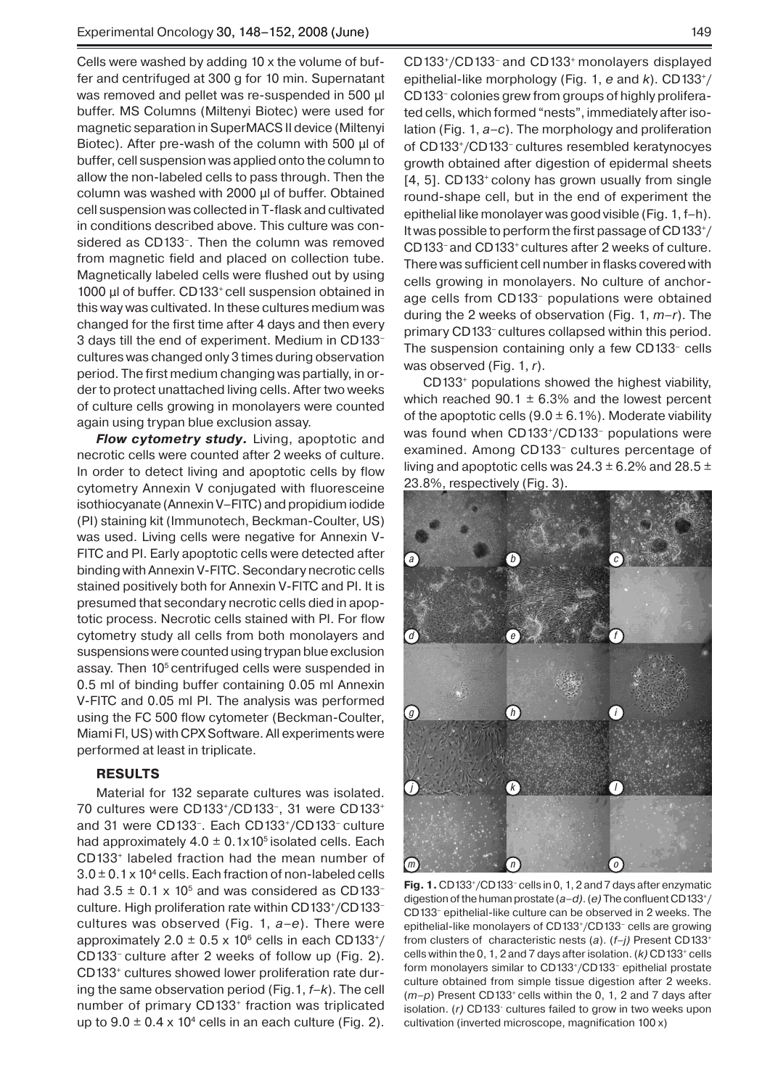Cells were washed by adding 10 x the volume of buffer and centrifuged at 300 g for 10 min. Supernatant was removed and pellet was re-suspended in 500 µl buffer. MS Columns (Miltenyi Biotec) were used for magnetic separation in SuperMACS II device (Miltenyi Biotec). After pre-wash of the column with 500 µl of buffer, cell suspension was applied onto the column to allow the non-labeled cells to pass through. Then the column was washed with 2000 µl of buffer. Obtained cell suspension was collected in T-flask and cultivated in conditions described above. This culture was considered as CD133–. Then the column was removed from magnetic field and placed on collection tube. Magnetically labeled cells were flushed out by using 1000 µl of buffer. CD133<sup>+</sup> cell suspension obtained in this way was cultivated. In these cultures medium was changed for the first time after 4 days and then every 3 days till the end of experiment. Medium in CD133– cultures was changed only 3 times during observation period. The first medium changing was partially, in order to protect unattached living cells. After two weeks of culture cells growing in monolayers were counted again using trypan blue exclusion assay.

*Flow cytometry study.* Living, apoptotic and necrotic cells were counted after 2 weeks of culture. In order to detect living and apoptotic cells by flow cytometry Annexin V conjugated with fluoresceine isothiocyanate (Annexin V–FITC) and propidium iodide (PI) staining kit (Immunotech, Beckman-Coulter, US) was used. Living cells were negative for Annexin V-FITC and PI. Early apoptotic cells were detected after binding with Annexin V-FITC. Secondary necrotic cells stained positively both for Annexin V-FITC and PI. It is presumed that secondary necrotic cells died in apoptotic process. Necrotic cells stained with PI. For flow cytometry study all cells from both monolayers and suspensions were counted using trypan blue exclusion assay. Then 10<sup>5</sup> centrifuged cells were suspended in 0.5 ml of binding buffer containing 0.05 ml Annexin V-FITC and 0.05 ml PI. The analysis was performed using the FC 500 flow cytometer (Beckman-Coulter, Miami Fl, US) with CPX Software. All experiments were performed at least in triplicate.

### **RESULTS**

Material for 132 separate cultures was isolated. 70 cultures were CD133+/CD133–, 31 were CD133+ and 31 were CD133–. Each CD133+/CD133– culture had approximately  $4.0 \pm 0.1x10^5$  isolated cells. Each CD133+ labeled fraction had the mean number of  $3.0 \pm 0.1$  x 10<sup>4</sup> cells. Each fraction of non-labeled cells had  $3.5 \pm 0.1 \times 10^5$  and was considered as CD133culture. High proliferation rate within CD133+/CD133– cultures was observed (Fig. 1, *a–e*). There were approximately 2.0  $\pm$  0.5 x 10<sup>6</sup> cells in each CD133<sup>+</sup>/ CD133– culture after 2 weeks of follow up (Fig. 2). CD133+ cultures showed lower proliferation rate during the same observation period (Fig.1, *f–k*). The cell number of primary CD133<sup>+</sup> fraction was triplicated up to  $9.0 \pm 0.4 \times 10^4$  cells in an each culture (Fig. 2).

CD133+/CD133– and CD133+ monolayers displayed epithelial-like morphology (Fig. 1, *e* and *k*). CD133+/ CD133– colonies grew from groups of highly proliferated cells, which formed "nests", immediately after isolation (Fig. 1, *a–c*). The morphology and proliferation of CD133+/CD133– cultures resembled keratynocyes growth obtained after digestion of epidermal sheets [4, 5]. CD133<sup>+</sup> colony has grown usually from single round-shape cell, but in the end of experiment the epithelial like monolayer was good visible (Fig. 1, f–h). It was possible to perform the first passage of CD133+/ CD133– and CD133+ cultures after 2 weeks of culture. There was sufficient cell number in flasks covered with cells growing in monolayers. No culture of anchorage cells from CD133– populations were obtained during the 2 weeks of observation (Fig. 1, *m–r*). The primary CD133– cultures collapsed within this period. The suspension containing only a few CD133– cells was observed (Fig. 1, *r*).

CD133+ populations showed the highest viability, which reached 90.1  $\pm$  6.3% and the lowest percent of the apoptotic cells  $(9.0 \pm 6.1\%)$ . Moderate viability was found when CD133<sup>+</sup>/CD133<sup>-</sup> populations were examined. Among CD133– cultures percentage of living and apoptotic cells was  $24.3 \pm 6.2\%$  and  $28.5 \pm$ 23.8%, respectively (Fig. 3).



**Fig. 1.** CD133+/CD133– cells in 0, 1, 2 and 7 days after enzymatic digestion of the human prostate (*a–d)*. (*e)* The confluent CD133+/ CD133– epithelial-like culture can be observed in 2 weeks. The epithelial-like monolayers of CD133+/CD133– cells are growing from clusters of characteristic nests (*a*). (*f–j)* Present CD133+ cells within the 0, 1, 2 and 7 days after isolation. (*k)* CD133+ cells form monolayers similar to CD133+/CD133– epithelial prostate culture obtained from simple tissue digestion after 2 weeks. (*m–p*) Present CD133+ cells within the 0, 1, 2 and 7 days after isolation. (r) CD133<sup>-</sup> cultures failed to grow in two weeks upon cultivation (inverted microscope, magnification 100 x)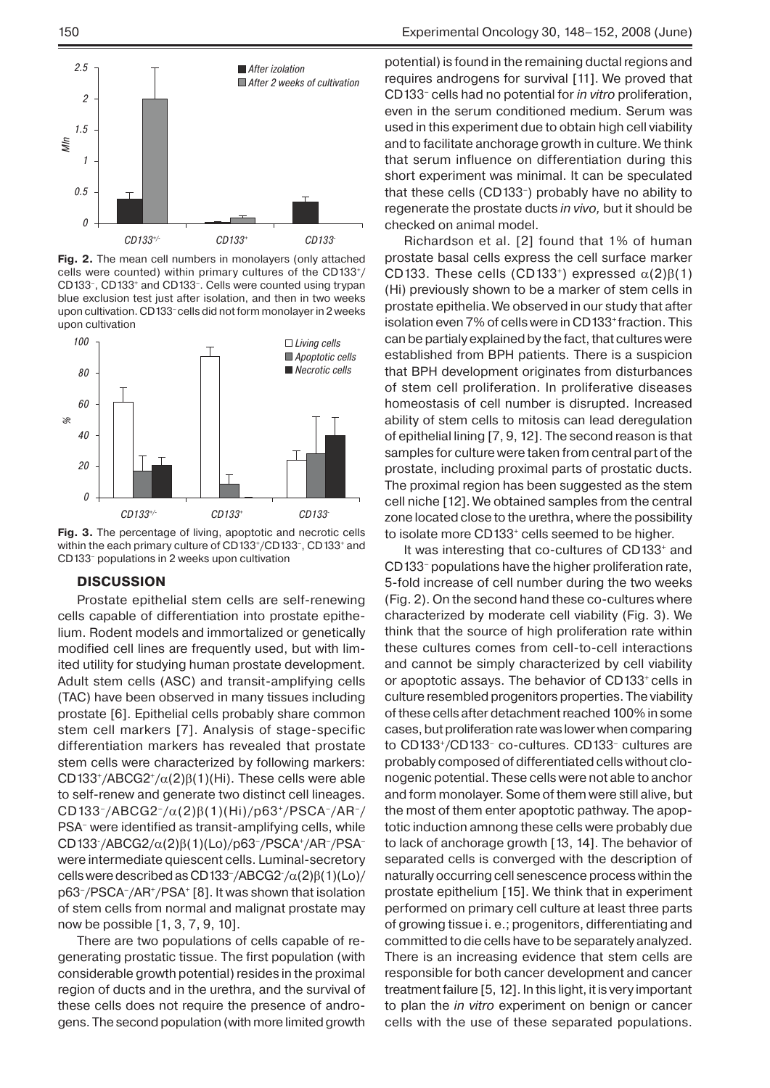

**Fig. 2.** The mean cell numbers in monolayers (only attached cells were counted) within primary cultures of the CD133+/ CD133–, CD133+ and CD133–. Cells were counted using trypan blue exclusion test just after isolation, and then in two weeks upon cultivation. CD133– cells did not form monolayer in 2 weeks upon cultivation



**Fig. 3.** The percentage of living, apoptotic and necrotic cells within the each primary culture of CD133+/CD133–, CD133+ and CD133– populations in 2 weeks upon cultivation

#### **DISCUSSION**

Prostate epithelial stem cells are self-renewing cells capable of differentiation into prostate epithelium. Rodent models and immortalized or genetically modified cell lines are frequently used, but with limited utility for studying human prostate development. Adult stem cells (ASC) and transit-amplifying cells (TAC) have been observed in many tissues including prostate [6]. Epithelial cells probably share common stem cell markers [7]. Analysis of stage-specific differentiation markers has revealed that prostate stem cells were characterized by following markers: CD133+/ABCG2+/α(2)β(1)(Hi). These cells were able to self-renew and generate two distinct cell lineages. CD133–/ABCG2–/α(2)β(1)(Hi)/p63+/PSCA–/AR–/ PSA– were identified as transit-amplifying cells, while CD133-/ABCG2/α(2)β(1)(Lo)/p63–/PSCA+/AR–/PSA– were intermediate quiescent cells. Luminal-secretory cells were described as CD133<sup>-</sup>/ABCG2<sup>-</sup>/α(2)β(1)(Lo)/ p63–/PSCA–/AR+/PSA+ [8]. It was shown that isolation of stem cells from normal and malignat prostate may now be possible [1, 3, 7, 9, 10].

There are two populations of cells capable of regenerating prostatic tissue. The first population (with considerable growth potential) resides in the proximal region of ducts and in the urethra, and the survival of these cells does not require the presence of androgens. The second population (with more limited growth potential) is found in the remaining ductal regions and requires androgens for survival [11]. We proved that CD133– cells had no potential for *in vitro* proliferation, even in the serum conditioned medium. Serum was used in this experiment due to obtain high cell viability and to facilitate anchorage growth in culture. We think that serum influence on differentiation during this short experiment was minimal. It can be speculated that these cells (CD133–) probably have no ability to regenerate the prostate ducts *in vivo,* but it should be checked on animal model.

Richardson et al. [2] found that 1% of human prostate basal cells express the cell surface marker CD133. These cells (CD133<sup>+</sup>) expressed  $\alpha(2)\beta(1)$ (Hi) previously shown to be a marker of stem cells in prostate epithelia. We observed in our study that after isolation even 7% of cells were in CD133+ fraction. This can be partialy explained by the fact, that cultures were established from BPH patients. There is a suspicion that BPH development originates from disturbances of stem cell proliferation. In proliferative diseases homeostasis of cell number is disrupted. Increased ability of stem cells to mitosis can lead deregulation of epithelial lining [7, 9, 12]. The second reason is that samples for culture were taken from central part of the prostate, including proximal parts of prostatic ducts. The proximal region has been suggested as the stem cell niche [12]. We obtained samples from the central zone located close to the urethra, where the possibility to isolate more CD133<sup>+</sup> cells seemed to be higher.

It was interesting that co-cultures of CD133+ and CD133– populations have the higher proliferation rate, 5-fold increase of cell number during the two weeks (Fig. 2). On the second hand these co-cultures where characterized by moderate cell viability (Fig. 3). We think that the source of high proliferation rate within these cultures comes from cell-to-cell interactions and cannot be simply characterized by cell viability or apoptotic assays. The behavior of CD133+ cells in culture resembled progenitors properties. The viability of these cells after detachment reached 100% in some cases, but proliferation rate was lower when comparing to CD133+/CD133– co-cultures. CD133– cultures are probably composed of differentiated cells without clonogenic potential. These cells were not able to anchor and form monolayer. Some of them were still alive, but the most of them enter apoptotic pathway. The apoptotic induction amnong these cells were probably due to lack of anchorage growth [13, 14]. The behavior of separated cells is converged with the description of naturally occurring cell senescence process within the prostate epithelium [15]. We think that in experiment performed on primary cell culture at least three parts of growing tissue i. e.; progenitors, differentiating and committed to die cells have to be separately analyzed. There is an increasing evidence that stem cells are responsible for both cancer development and cancer treatment failure [5, 12]. In this light, it is very important to plan the *in vitro* experiment on benign or cancer cells with the use of these separated populations.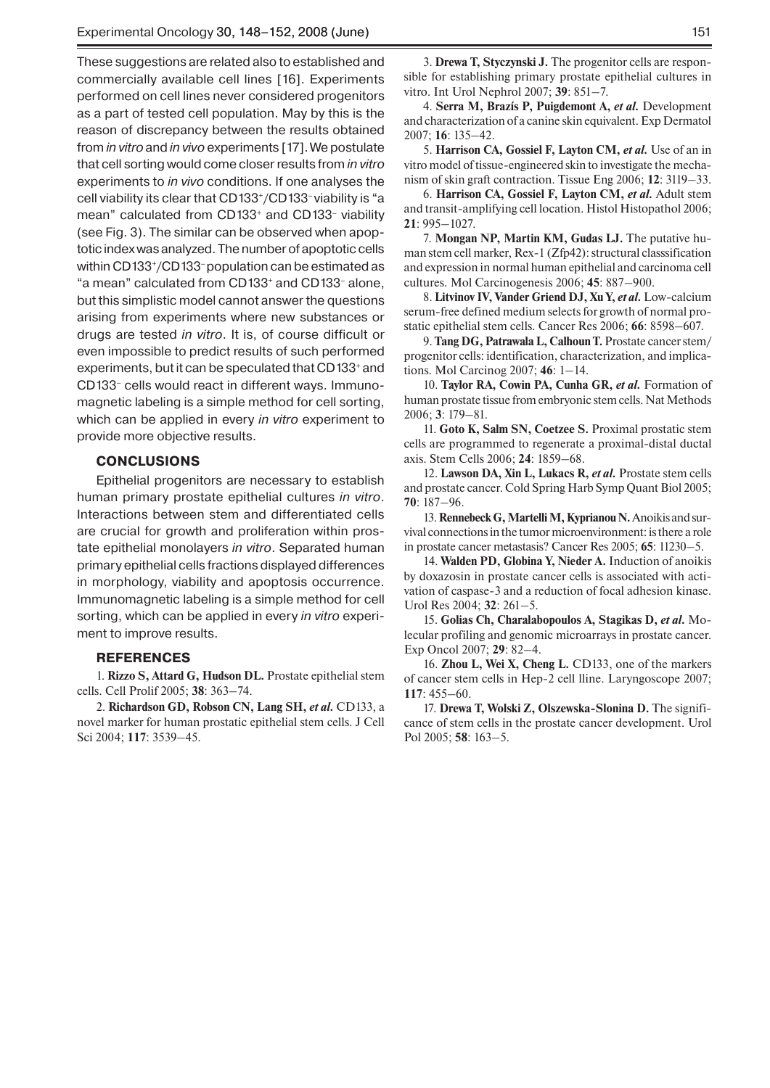These suggestions are related also to established and commercially available cell lines [16]. Experiments performed on cell lines never considered progenitors as a part of tested cell population. May by this is the reason of discrepancy between the results obtained from *in vitro* and *in vivo* experiments [17]. We postulate that cell sorting would come closer results from *in vitro* experiments to *in vivo* conditions. If one analyses the cell viability its clear that CD133+/CD133– viability is "a mean" calculated from CD133<sup>+</sup> and CD133<sup>-</sup> viability (see Fig. 3). The similar can be observed when apoptotic index was analyzed. The number of apoptotic cells within CD133+/CD133– population can be estimated as "a mean" calculated from CD133+ and CD133– alone, but this simplistic model cannot answer the questions arising from experiments where new substances or drugs are tested *in vitro*. It is, of course difficult or even impossible to predict results of such performed experiments, but it can be speculated that CD133+ and CD133– cells would react in different ways. Immunomagnetic labeling is a simple method for cell sorting, which can be applied in every *in vitro* experiment to provide more objective results.

## **CONCLUSIONS**

Epithelial progenitors are necessary to establish human primary prostate epithelial cultures *in vitro*. Interactions between stem and differentiated cells are crucial for growth and proliferation within prostate epithelial monolayers *in vitro*. Separated human primary epithelial cells fractions displayed differences in morphology, viability and apoptosis occurrence. Immunomagnetic labeling is a simple method for cell sorting, which can be applied in every *in vitro* experiment to improve results.

### **References**

1. **Rizzo S, Attard G, Hudson DL.** Prostate epithelial stem cells. Cell Prolif 2005; **38**: 363–74.

2. **Richardson GD, Robson CN, Lang SH,** *et al.* CD133, a novel marker for human prostatic epithelial stem cells. J Cell Sci 2004; **117**: 3539–45.

3. **Drewa T, Styczynski J.** The progenitor cells are responsible for establishing primary prostate epithelial cultures in vitro. Int Urol Nephrol 2007; **39**: 851–7.

4. **Serra M, Brazís P, Puigdemont A,** *et al.* Development and characterization of a canine skin equivalent. Exp Dermatol 2007; **16**: 135–42.

5. **Harrison CA, Gossiel F, Layton CM,** *et al.* Use of an in vitro model of tissue-engineered skin to investigate the mechanism of skin graft contraction. Tissue Eng 2006; **12**: 3119–33.

6. **Harrison CA, Gossiel F, Layton CM,** *et al.* Adult stem and transit-amplifying cell location. Histol Histopathol 2006; **21**: 995–1027.

7. **Mongan NP, Martin KM, Gudas LJ.** The putative human stem cell marker, Rex-1 (Zfp42): structural classsification and expression in normal human epithelial and carcinoma cell cultures. Mol Carcinogenesis 2006; **45**: 887–900.

8. **Litvinov IV, Vander Griend DJ, Xu Y,** *et al.* Low-calcium serum-free defined medium selects for growth of normal prostatic epithelial stem cells. Cancer Res 2006; **66**: 8598–607.

9. **Tang DG, Patrawala L, Calhoun T.** Prostate cancer stem/ progenitor cells: identification, characterization, and implications. Mol Carcinog 2007; **46**: 1–14.

10. **Taylor RA, Cowin PA, Cunha GR,** *et al.* Formation of human prostate tissue from embryonic stem cells. Nat Methods 2006; **3**: 179–81.

11. **Goto K, Salm SN, Coetzee S.** Proximal prostatic stem cells are programmed to regenerate a proximal-distal ductal axis. Stem Cells 2006; **24**: 1859–68.

12. **Lawson DA, Xin L, Lukacs R,** *et al.* Prostate stem cells and prostate cancer. Cold Spring Harb Symp Quant Biol 2005; **70**: 187–96.

13. **Rennebeck G, Martelli M, Kyprianou N.** Anoikis and survival connections in the tumor microenvironment: is there a role in prostate cancer metastasis? Cancer Res 2005; **65**: 11230–5.

14. **Walden PD, Globina Y, Nieder A.** Induction of anoikis by doxazosin in prostate cancer cells is associated with activation of caspase-3 and a reduction of focal adhesion kinase. Urol Res 2004; **32**: 261–5.

15. **Golias Ch, Charalabopoulos A, Stagikas D,** *et al.* Molecular profiling and genomic microarrays in prostate cancer. Exp Oncol 2007; **29**: 82–4.

16. **Zhou L, Wei X, Cheng L.** CD133, one of the markers of cancer stem cells in Hep-2 cell lline. Laryngoscope 2007; **117**: 455–60.

17. **Drewa T, Wolski Z, Olszewska-Slonina D.** The significance of stem cells in the prostate cancer development. Urol Pol 2005; **58**: 163–5.